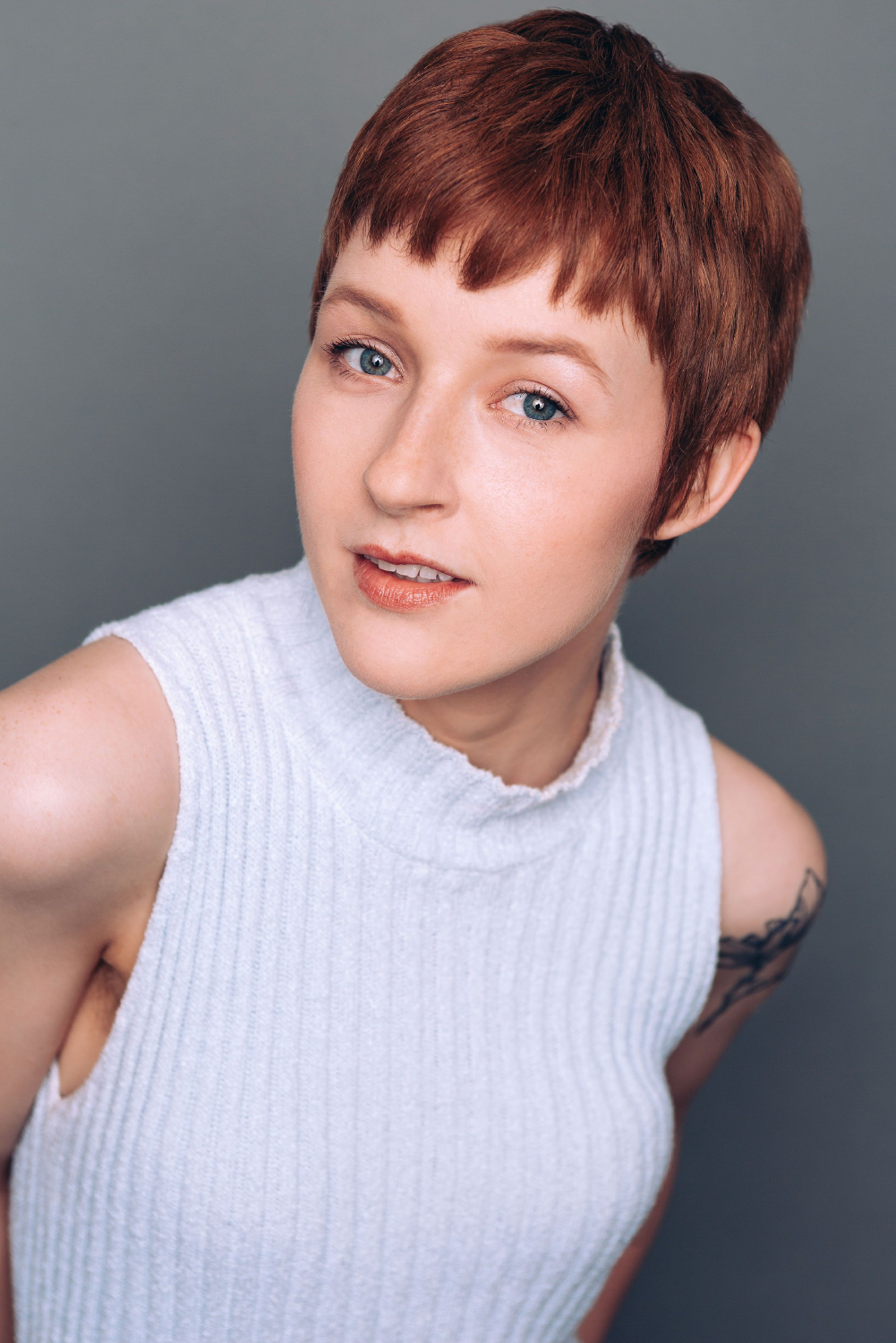